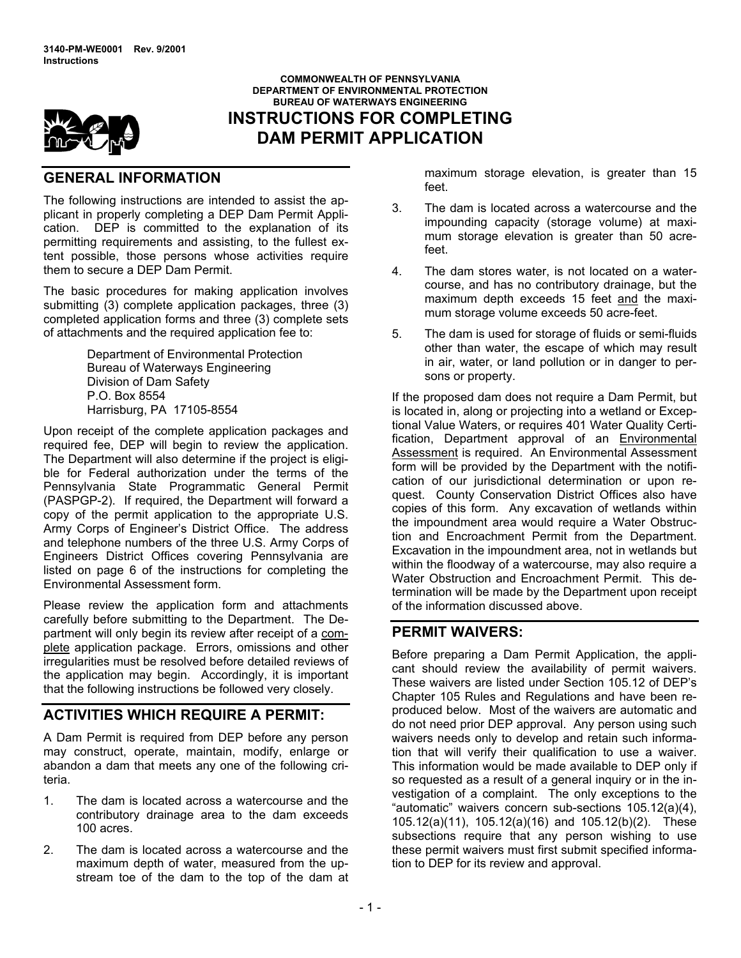

## **DEPARTMENT OF ENVIRONMENTAL PROTECTION BUREAU OF WATERWAYS ENGINEERING INSTRUCTIONS FOR COMPLETING DAM PERMIT APPLICATION**

**COMMONWEALTH OF PENNSYLVANIA** 

# **GENERAL INFORMATION**

The following instructions are intended to assist the applicant in properly completing a DEP Dam Permit Application. DEP is committed to the explanation of its permitting requirements and assisting, to the fullest extent possible, those persons whose activities require them to secure a DEP Dam Permit.

The basic procedures for making application involves submitting (3) complete application packages, three (3) completed application forms and three (3) complete sets of attachments and the required application fee to:

> Department of Environmental Protection Bureau of Waterways Engineering Division of Dam Safety P.O. Box 8554 Harrisburg, PA 17105-8554

Upon receipt of the complete application packages and required fee, DEP will begin to review the application. The Department will also determine if the project is eligible for Federal authorization under the terms of the Pennsylvania State Programmatic General Permit (PASPGP-2). If required, the Department will forward a copy of the permit application to the appropriate U.S. Army Corps of Engineerís District Office. The address and telephone numbers of the three U.S. Army Corps of Engineers District Offices covering Pennsylvania are listed on page 6 of the instructions for completing the Environmental Assessment form.

Please review the application form and attachments carefully before submitting to the Department. The Department will only begin its review after receipt of a complete application package. Errors, omissions and other irregularities must be resolved before detailed reviews of the application may begin. Accordingly, it is important that the following instructions be followed very closely.

# **ACTIVITIES WHICH REQUIRE A PERMIT:**

A Dam Permit is required from DEP before any person may construct, operate, maintain, modify, enlarge or abandon a dam that meets any one of the following criteria.

- 1. The dam is located across a watercourse and the contributory drainage area to the dam exceeds 100 acres.
- 2. The dam is located across a watercourse and the maximum depth of water, measured from the upstream toe of the dam to the top of the dam at

maximum storage elevation, is greater than 15 feet.

- 3. The dam is located across a watercourse and the impounding capacity (storage volume) at maximum storage elevation is greater than 50 acrefeet.
- 4. The dam stores water, is not located on a watercourse, and has no contributory drainage, but the maximum depth exceeds 15 feet and the maximum storage volume exceeds 50 acre-feet.
- 5. The dam is used for storage of fluids or semi-fluids other than water, the escape of which may result in air, water, or land pollution or in danger to persons or property.

If the proposed dam does not require a Dam Permit, but is located in, along or projecting into a wetland or Exceptional Value Waters, or requires 401 Water Quality Certification, Department approval of an Environmental Assessment is required. An Environmental Assessment form will be provided by the Department with the notification of our jurisdictional determination or upon request. County Conservation District Offices also have copies of this form. Any excavation of wetlands within the impoundment area would require a Water Obstruction and Encroachment Permit from the Department. Excavation in the impoundment area, not in wetlands but within the floodway of a watercourse, may also require a Water Obstruction and Encroachment Permit. This determination will be made by the Department upon receipt of the information discussed above.

## **PERMIT WAIVERS:**

Before preparing a Dam Permit Application, the applicant should review the availability of permit waivers. These waivers are listed under Section 105.12 of DEP's Chapter 105 Rules and Regulations and have been reproduced below. Most of the waivers are automatic and do not need prior DEP approval. Any person using such waivers needs only to develop and retain such information that will verify their qualification to use a waiver. This information would be made available to DEP only if so requested as a result of a general inquiry or in the investigation of a complaint. The only exceptions to the "automatic" waivers concern sub-sections 105.12(a)(4), 105.12(a)(11), 105.12(a)(16) and 105.12(b)(2). These subsections require that any person wishing to use these permit waivers must first submit specified information to DEP for its review and approval.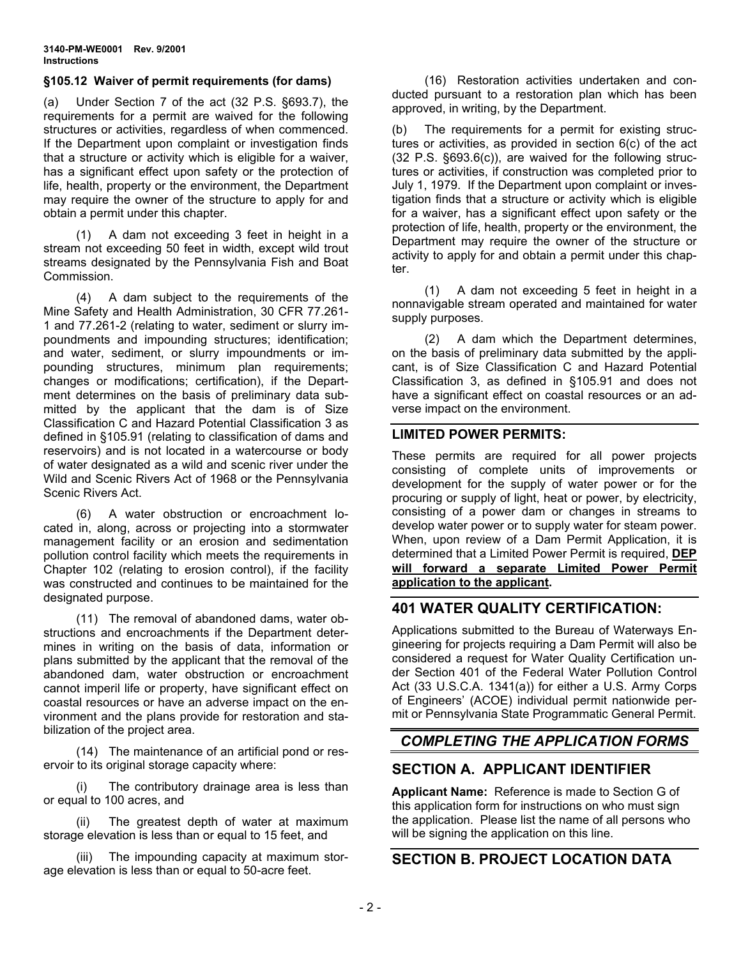#### **ß105.12 Waiver of permit requirements (for dams)**

(a) Under Section 7 of the act (32 P.S. ß693.7), the requirements for a permit are waived for the following structures or activities, regardless of when commenced. If the Department upon complaint or investigation finds that a structure or activity which is eligible for a waiver, has a significant effect upon safety or the protection of life, health, property or the environment, the Department may require the owner of the structure to apply for and obtain a permit under this chapter.

(1) A dam not exceeding 3 feet in height in a stream not exceeding 50 feet in width, except wild trout streams designated by the Pennsylvania Fish and Boat Commission.

(4) A dam subject to the requirements of the Mine Safety and Health Administration, 30 CFR 77.261- 1 and 77.261-2 (relating to water, sediment or slurry impoundments and impounding structures; identification; and water, sediment, or slurry impoundments or impounding structures, minimum plan requirements; changes or modifications; certification), if the Department determines on the basis of preliminary data submitted by the applicant that the dam is of Size Classification C and Hazard Potential Classification 3 as defined in ß105.91 (relating to classification of dams and reservoirs) and is not located in a watercourse or body of water designated as a wild and scenic river under the Wild and Scenic Rivers Act of 1968 or the Pennsylvania Scenic Rivers Act.

(6) A water obstruction or encroachment located in, along, across or projecting into a stormwater management facility or an erosion and sedimentation pollution control facility which meets the requirements in Chapter 102 (relating to erosion control), if the facility was constructed and continues to be maintained for the designated purpose.

(11) The removal of abandoned dams, water obstructions and encroachments if the Department determines in writing on the basis of data, information or plans submitted by the applicant that the removal of the abandoned dam, water obstruction or encroachment cannot imperil life or property, have significant effect on coastal resources or have an adverse impact on the environment and the plans provide for restoration and stabilization of the project area.

(14) The maintenance of an artificial pond or reservoir to its original storage capacity where:

(i) The contributory drainage area is less than or equal to 100 acres, and

(ii) The greatest depth of water at maximum storage elevation is less than or equal to 15 feet, and

(iii) The impounding capacity at maximum storage elevation is less than or equal to 50-acre feet.

(16) Restoration activities undertaken and conducted pursuant to a restoration plan which has been approved, in writing, by the Department.

(b) The requirements for a permit for existing structures or activities, as provided in section 6(c) of the act (32 P.S. ß693.6(c)), are waived for the following structures or activities, if construction was completed prior to July 1, 1979. If the Department upon complaint or investigation finds that a structure or activity which is eligible for a waiver, has a significant effect upon safety or the protection of life, health, property or the environment, the Department may require the owner of the structure or activity to apply for and obtain a permit under this chapter.

(1) A dam not exceeding 5 feet in height in a nonnavigable stream operated and maintained for water supply purposes.

(2) A dam which the Department determines, on the basis of preliminary data submitted by the applicant, is of Size Classification C and Hazard Potential Classification 3, as defined in ß105.91 and does not have a significant effect on coastal resources or an adverse impact on the environment.

#### **LIMITED POWER PERMITS:**

These permits are required for all power projects consisting of complete units of improvements or development for the supply of water power or for the procuring or supply of light, heat or power, by electricity, consisting of a power dam or changes in streams to develop water power or to supply water for steam power. When, upon review of a Dam Permit Application, it is determined that a Limited Power Permit is required, **DEP will forward a separate Limited Power Permit application to the applicant.**

## **401 WATER QUALITY CERTIFICATION:**

Applications submitted to the Bureau of Waterways Engineering for projects requiring a Dam Permit will also be considered a request for Water Quality Certification under Section 401 of the Federal Water Pollution Control Act (33 U.S.C.A. 1341(a)) for either a U.S. Army Corps of Engineers' (ACOE) individual permit nationwide permit or Pennsylvania State Programmatic General Permit.

# *COMPLETING THE APPLICATION FORMS*

# **SECTION A. APPLICANT IDENTIFIER**

**Applicant Name:** Reference is made to Section G of this application form for instructions on who must sign the application. Please list the name of all persons who will be signing the application on this line.

## **SECTION B. PROJECT LOCATION DATA**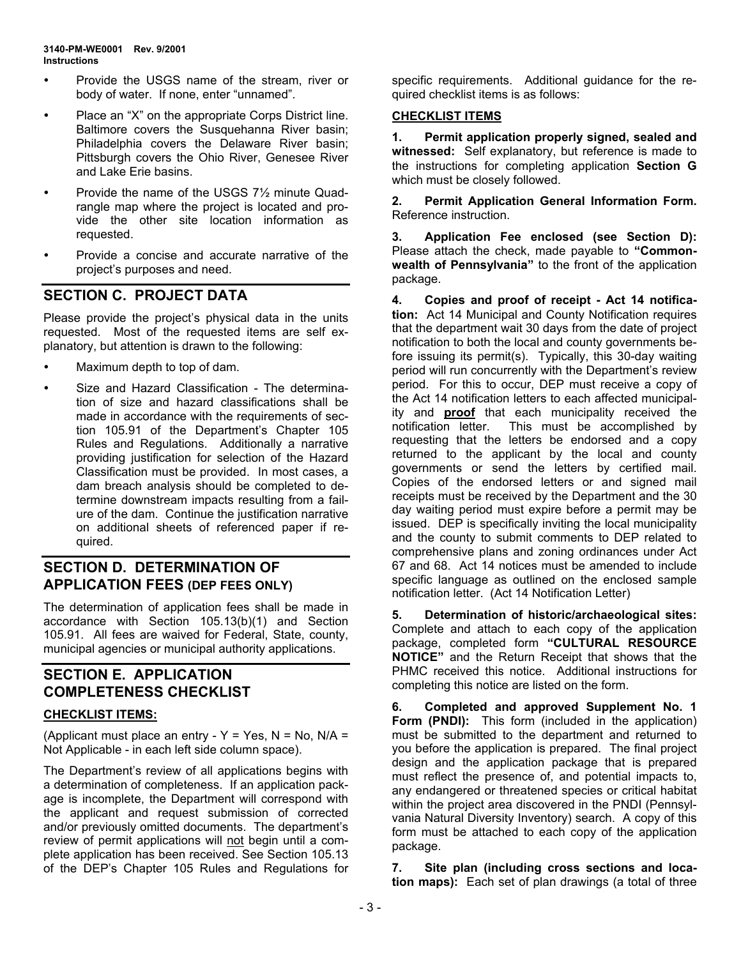- Provide the USGS name of the stream, river or body of water. If none, enter "unnamed".
- Place an "X" on the appropriate Corps District line. Baltimore covers the Susquehanna River basin; Philadelphia covers the Delaware River basin; Pittsburgh covers the Ohio River, Genesee River and Lake Erie basins.
- ! Provide the name of the USGS 7½ minute Quadrangle map where the project is located and provide the other site location information as requested.
- Provide a concise and accurate narrative of the project's purposes and need.

# **SECTION C. PROJECT DATA**

Please provide the project's physical data in the units requested. Most of the requested items are self explanatory, but attention is drawn to the following:

- Maximum depth to top of dam.
- Size and Hazard Classification The determination of size and hazard classifications shall be made in accordance with the requirements of section 105.91 of the Department's Chapter 105 Rules and Regulations. Additionally a narrative providing justification for selection of the Hazard Classification must be provided. In most cases, a dam breach analysis should be completed to determine downstream impacts resulting from a failure of the dam. Continue the justification narrative on additional sheets of referenced paper if required.

# **SECTION D. DETERMINATION OF APPLICATION FEES (DEP FEES ONLY)**

The determination of application fees shall be made in accordance with Section 105.13(b)(1) and Section 105.91. All fees are waived for Federal, State, county, municipal agencies or municipal authority applications.

## **SECTION E. APPLICATION COMPLETENESS CHECKLIST**

### **CHECKLIST ITEMS:**

(Applicant must place an entry -  $Y = Yes$ ,  $N = No$ ,  $N/A =$ Not Applicable - in each left side column space).

The Department's review of all applications begins with a determination of completeness. If an application package is incomplete, the Department will correspond with the applicant and request submission of corrected and/or previously omitted documents. The department's review of permit applications will not begin until a complete application has been received. See Section 105.13 of the DEPís Chapter 105 Rules and Regulations for specific requirements. Additional guidance for the required checklist items is as follows:

### **CHECKLIST ITEMS**

**1. Permit application properly signed, sealed and witnessed:** Self explanatory, but reference is made to the instructions for completing application **Section G** which must be closely followed.

**2. Permit Application General Information Form.** Reference instruction.

**3. Application Fee enclosed (see Section D):** Please attach the check, made payable to "Common**wealth of Pennsylvania**" to the front of the application package.

**4. Copies and proof of receipt - Act 14 notification:** Act 14 Municipal and County Notification requires that the department wait 30 days from the date of project notification to both the local and county governments before issuing its permit(s). Typically, this 30-day waiting period will run concurrently with the Department's review period. For this to occur, DEP must receive a copy of the Act 14 notification letters to each affected municipality and **proof** that each municipality received the notification letter. This must be accomplished by requesting that the letters be endorsed and a copy returned to the applicant by the local and county governments or send the letters by certified mail. Copies of the endorsed letters or and signed mail receipts must be received by the Department and the 30 day waiting period must expire before a permit may be issued. DEP is specifically inviting the local municipality and the county to submit comments to DEP related to comprehensive plans and zoning ordinances under Act 67 and 68. Act 14 notices must be amended to include specific language as outlined on the enclosed sample notification letter. (Act 14 Notification Letter)

**5. Determination of historic/archaeological sites:** Complete and attach to each copy of the application package, completed form "CULTURAL RESOURCE **NOTICEî** and the Return Receipt that shows that the PHMC received this notice. Additional instructions for completing this notice are listed on the form.

**6. Completed and approved Supplement No. 1 Form (PNDI):** This form (included in the application) must be submitted to the department and returned to you before the application is prepared. The final project design and the application package that is prepared must reflect the presence of, and potential impacts to, any endangered or threatened species or critical habitat within the project area discovered in the PNDI (Pennsylvania Natural Diversity Inventory) search. A copy of this form must be attached to each copy of the application package.

**7. Site plan (including cross sections and location maps):** Each set of plan drawings (a total of three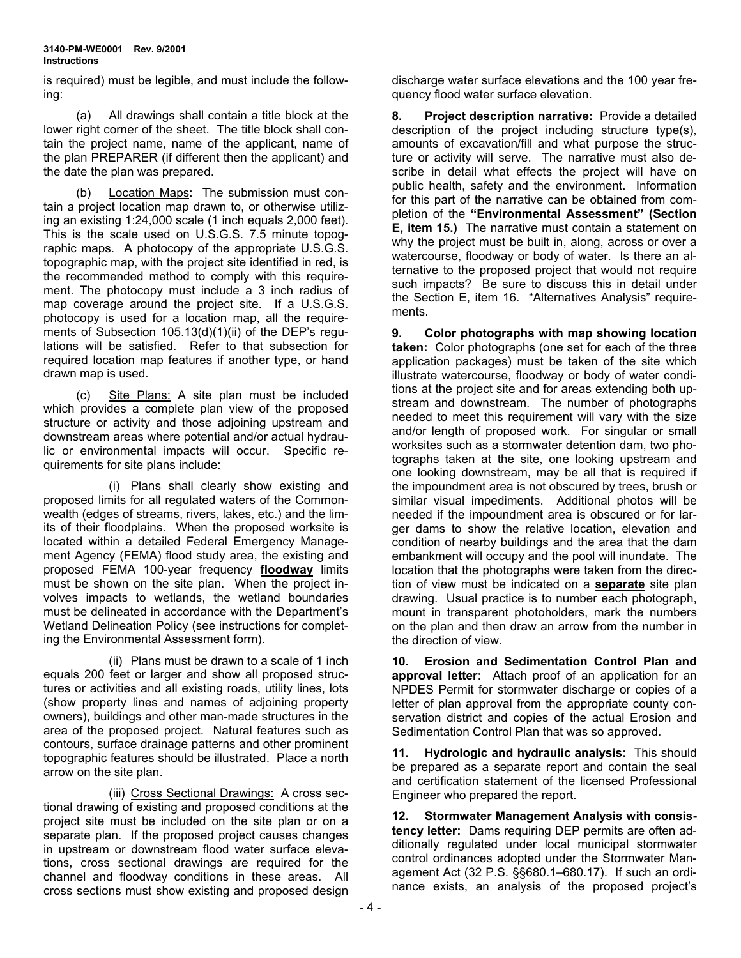is required) must be legible, and must include the following:

(a) All drawings shall contain a title block at the lower right corner of the sheet. The title block shall contain the project name, name of the applicant, name of the plan PREPARER (if different then the applicant) and the date the plan was prepared.

(b) Location Maps: The submission must contain a project location map drawn to, or otherwise utilizing an existing 1:24,000 scale (1 inch equals 2,000 feet). This is the scale used on U.S.G.S. 7.5 minute topographic maps. A photocopy of the appropriate U.S.G.S. topographic map, with the project site identified in red, is the recommended method to comply with this requirement. The photocopy must include a 3 inch radius of map coverage around the project site. If a U.S.G.S. photocopy is used for a location map, all the requirements of Subsection  $105.13(d)(1)(ii)$  of the DEP's regulations will be satisfied. Refer to that subsection for required location map features if another type, or hand drawn map is used.

(c) Site Plans: A site plan must be included which provides a complete plan view of the proposed structure or activity and those adjoining upstream and downstream areas where potential and/or actual hydraulic or environmental impacts will occur. Specific requirements for site plans include:

(i) Plans shall clearly show existing and proposed limits for all regulated waters of the Commonwealth (edges of streams, rivers, lakes, etc.) and the limits of their floodplains. When the proposed worksite is located within a detailed Federal Emergency Management Agency (FEMA) flood study area, the existing and proposed FEMA 100-year frequency **floodway** limits must be shown on the site plan. When the project involves impacts to wetlands, the wetland boundaries must be delineated in accordance with the Department's Wetland Delineation Policy (see instructions for completing the Environmental Assessment form).

(ii) Plans must be drawn to a scale of 1 inch equals 200 feet or larger and show all proposed structures or activities and all existing roads, utility lines, lots (show property lines and names of adjoining property owners), buildings and other man-made structures in the area of the proposed project. Natural features such as contours, surface drainage patterns and other prominent topographic features should be illustrated. Place a north arrow on the site plan.

(iii) Cross Sectional Drawings: A cross sectional drawing of existing and proposed conditions at the project site must be included on the site plan or on a separate plan. If the proposed project causes changes in upstream or downstream flood water surface elevations, cross sectional drawings are required for the channel and floodway conditions in these areas. All cross sections must show existing and proposed design

discharge water surface elevations and the 100 year frequency flood water surface elevation.

**8. Project description narrative:** Provide a detailed description of the project including structure type(s), amounts of excavation/fill and what purpose the structure or activity will serve. The narrative must also describe in detail what effects the project will have on public health, safety and the environment. Information for this part of the narrative can be obtained from completion of the "Environmental Assessment" (Section **E, item 15.)** The narrative must contain a statement on why the project must be built in, along, across or over a watercourse, floodway or body of water. Is there an alternative to the proposed project that would not require such impacts? Be sure to discuss this in detail under the Section E, item 16. "Alternatives Analysis" requirements.

**9. Color photographs with map showing location taken:** Color photographs (one set for each of the three application packages) must be taken of the site which illustrate watercourse, floodway or body of water conditions at the project site and for areas extending both upstream and downstream. The number of photographs needed to meet this requirement will vary with the size and/or length of proposed work. For singular or small worksites such as a stormwater detention dam, two photographs taken at the site, one looking upstream and one looking downstream, may be all that is required if the impoundment area is not obscured by trees, brush or similar visual impediments. Additional photos will be needed if the impoundment area is obscured or for larger dams to show the relative location, elevation and condition of nearby buildings and the area that the dam embankment will occupy and the pool will inundate. The location that the photographs were taken from the direction of view must be indicated on a **separate** site plan drawing. Usual practice is to number each photograph, mount in transparent photoholders, mark the numbers on the plan and then draw an arrow from the number in the direction of view.

**10. Erosion and Sedimentation Control Plan and approval letter:** Attach proof of an application for an NPDES Permit for stormwater discharge or copies of a letter of plan approval from the appropriate county conservation district and copies of the actual Erosion and Sedimentation Control Plan that was so approved.

**11. Hydrologic and hydraulic analysis:** This should be prepared as a separate report and contain the seal and certification statement of the licensed Professional Engineer who prepared the report.

**12. Stormwater Management Analysis with consistency letter:** Dams requiring DEP permits are often additionally regulated under local municipal stormwater control ordinances adopted under the Stormwater Management Act (32 P.S. §§680.1-680.17). If such an ordinance exists, an analysis of the proposed project's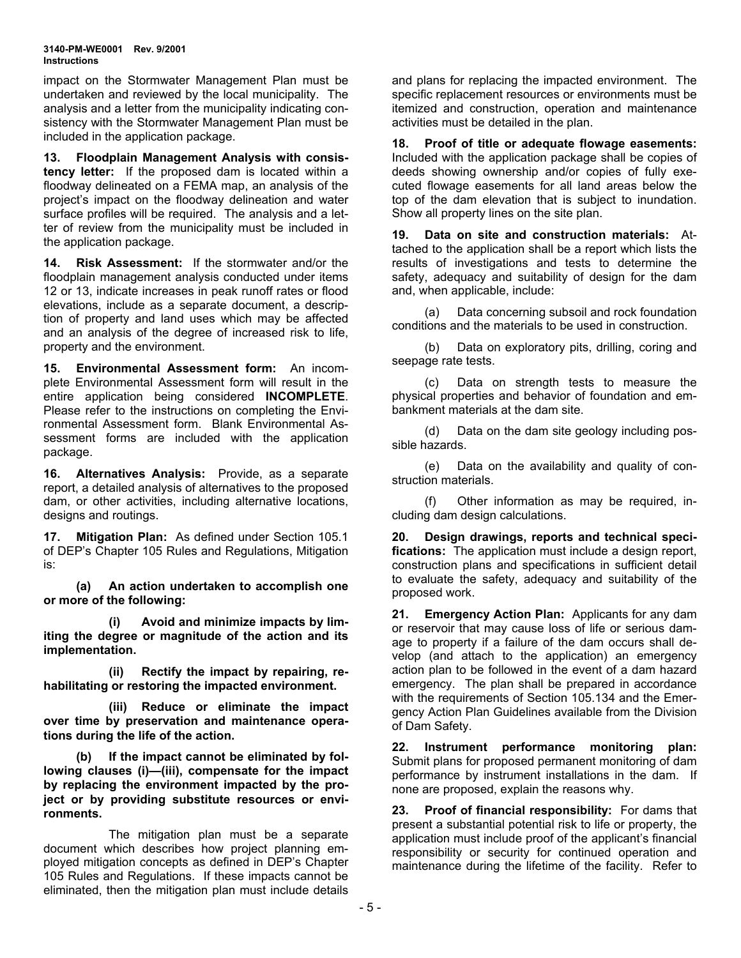#### **3140-PM-WE0001 Rev. 9/2001 Instructions**

impact on the Stormwater Management Plan must be undertaken and reviewed by the local municipality. The analysis and a letter from the municipality indicating consistency with the Stormwater Management Plan must be included in the application package.

**13. Floodplain Management Analysis with consistency letter:** If the proposed dam is located within a floodway delineated on a FEMA map, an analysis of the project's impact on the floodway delineation and water surface profiles will be required. The analysis and a letter of review from the municipality must be included in the application package.

**14. Risk Assessment:** If the stormwater and/or the floodplain management analysis conducted under items 12 or 13, indicate increases in peak runoff rates or flood elevations, include as a separate document, a description of property and land uses which may be affected and an analysis of the degree of increased risk to life, property and the environment.

**15. Environmental Assessment form:** An incomplete Environmental Assessment form will result in the entire application being considered **INCOMPLETE**. Please refer to the instructions on completing the Environmental Assessment form. Blank Environmental Assessment forms are included with the application package.

**16. Alternatives Analysis:** Provide, as a separate report, a detailed analysis of alternatives to the proposed dam, or other activities, including alternative locations, designs and routings.

**17. Mitigation Plan:** As defined under Section 105.1 of DEP's Chapter 105 Rules and Regulations, Mitigation is:

**(a) An action undertaken to accomplish one or more of the following:** 

**(i) Avoid and minimize impacts by limiting the degree or magnitude of the action and its implementation.** 

**(ii) Rectify the impact by repairing, rehabilitating or restoring the impacted environment.** 

**(iii) Reduce or eliminate the impact over time by preservation and maintenance operations during the life of the action.** 

**(b) If the impact cannot be eliminated by fol**lowing clauses (i)-(iii), compensate for the impact **by replacing the environment impacted by the project or by providing substitute resources or environments.** 

The mitigation plan must be a separate document which describes how project planning employed mitigation concepts as defined in DEP's Chapter 105 Rules and Regulations. If these impacts cannot be eliminated, then the mitigation plan must include details

and plans for replacing the impacted environment. The specific replacement resources or environments must be itemized and construction, operation and maintenance activities must be detailed in the plan.

**18. Proof of title or adequate flowage easements:** Included with the application package shall be copies of deeds showing ownership and/or copies of fully executed flowage easements for all land areas below the top of the dam elevation that is subject to inundation. Show all property lines on the site plan.

**19. Data on site and construction materials:** Attached to the application shall be a report which lists the results of investigations and tests to determine the safety, adequacy and suitability of design for the dam and, when applicable, include:

(a) Data concerning subsoil and rock foundation conditions and the materials to be used in construction.

(b) Data on exploratory pits, drilling, coring and seepage rate tests.

(c) Data on strength tests to measure the physical properties and behavior of foundation and embankment materials at the dam site.

(d) Data on the dam site geology including possible hazards.

(e) Data on the availability and quality of construction materials.

(f) Other information as may be required, including dam design calculations.

**20. Design drawings, reports and technical specifications:** The application must include a design report, construction plans and specifications in sufficient detail to evaluate the safety, adequacy and suitability of the proposed work.

**21. Emergency Action Plan:** Applicants for any dam or reservoir that may cause loss of life or serious damage to property if a failure of the dam occurs shall develop (and attach to the application) an emergency action plan to be followed in the event of a dam hazard emergency. The plan shall be prepared in accordance with the requirements of Section 105.134 and the Emergency Action Plan Guidelines available from the Division of Dam Safety.

**22. Instrument performance monitoring plan:** Submit plans for proposed permanent monitoring of dam performance by instrument installations in the dam. If none are proposed, explain the reasons why.

**23. Proof of financial responsibility:** For dams that present a substantial potential risk to life or property, the application must include proof of the applicant's financial responsibility or security for continued operation and maintenance during the lifetime of the facility. Refer to